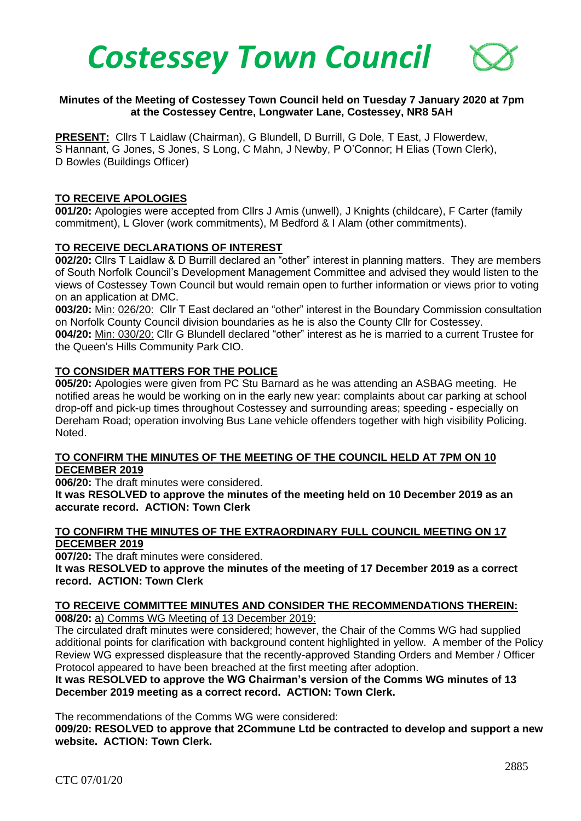

### **Minutes of the Meeting of Costessey Town Council held on Tuesday 7 January 2020 at 7pm at the Costessey Centre, Longwater Lane, Costessey, NR8 5AH**

**PRESENT:** Cllrs T Laidlaw (Chairman), G Blundell, D Burrill, G Dole, T East, J Flowerdew, S Hannant, G Jones, S Jones, S Long, C Mahn, J Newby, P O'Connor; H Elias (Town Clerk), D Bowles (Buildings Officer)

#### **TO RECEIVE APOLOGIES**

**001/20:** Apologies were accepted from Cllrs J Amis (unwell), J Knights (childcare), F Carter (family commitment), L Glover (work commitments), M Bedford & I Alam (other commitments).

#### **TO RECEIVE DECLARATIONS OF INTEREST**

**002/20:** Cllrs T Laidlaw & D Burrill declared an "other" interest in planning matters. They are members of South Norfolk Council's Development Management Committee and advised they would listen to the views of Costessey Town Council but would remain open to further information or views prior to voting on an application at DMC.

**003/20:** Min: 026/20: Cllr T East declared an "other" interest in the Boundary Commission consultation on Norfolk County Council division boundaries as he is also the County Cllr for Costessey. **004/20:** Min: 030/20: Cllr G Blundell declared "other" interest as he is married to a current Trustee for the Queen's Hills Community Park CIO.

#### **TO CONSIDER MATTERS FOR THE POLICE**

**005/20:** Apologies were given from PC Stu Barnard as he was attending an ASBAG meeting. He notified areas he would be working on in the early new year: complaints about car parking at school drop-off and pick-up times throughout Costessey and surrounding areas; speeding - especially on Dereham Road; operation involving Bus Lane vehicle offenders together with high visibility Policing. Noted.

#### **TO CONFIRM THE MINUTES OF THE MEETING OF THE COUNCIL HELD AT 7PM ON 10 DECEMBER 2019**

**006/20:** The draft minutes were considered.

**It was RESOLVED to approve the minutes of the meeting held on 10 December 2019 as an accurate record. ACTION: Town Clerk**

#### **TO CONFIRM THE MINUTES OF THE EXTRAORDINARY FULL COUNCIL MEETING ON 17 DECEMBER 2019**

**007/20:** The draft minutes were considered.

**It was RESOLVED to approve the minutes of the meeting of 17 December 2019 as a correct record. ACTION: Town Clerk**

**TO RECEIVE COMMITTEE MINUTES AND CONSIDER THE RECOMMENDATIONS THEREIN: 008/20:** a) Comms WG Meeting of 13 December 2019:

The circulated draft minutes were considered; however, the Chair of the Comms WG had supplied additional points for clarification with background content highlighted in yellow. A member of the Policy Review WG expressed displeasure that the recently-approved Standing Orders and Member / Officer Protocol appeared to have been breached at the first meeting after adoption.

**It was RESOLVED to approve the WG Chairman's version of the Comms WG minutes of 13 December 2019 meeting as a correct record. ACTION: Town Clerk.**

The recommendations of the Comms WG were considered:

**009/20: RESOLVED to approve that 2Commune Ltd be contracted to develop and support a new website. ACTION: Town Clerk.**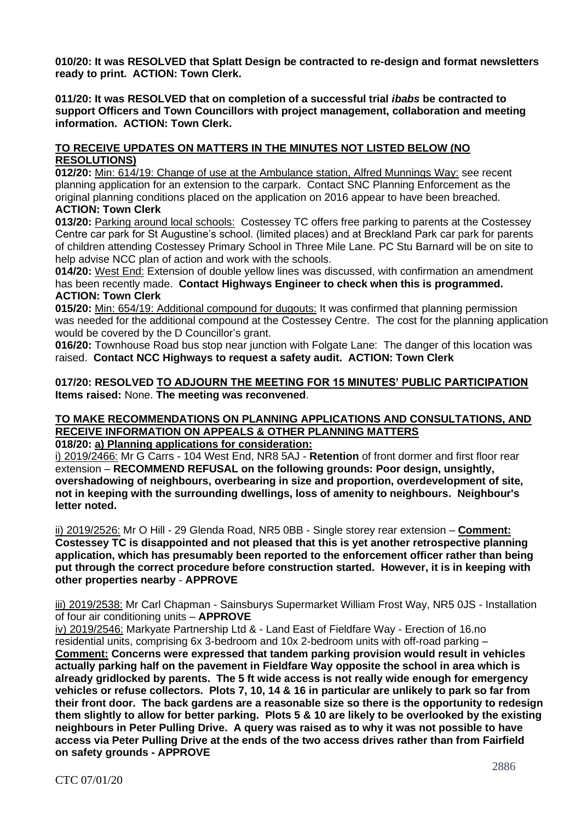**010/20: It was RESOLVED that Splatt Design be contracted to re-design and format newsletters ready to print. ACTION: Town Clerk.**

**011/20: It was RESOLVED that on completion of a successful trial** *ibabs* **be contracted to support Officers and Town Councillors with project management, collaboration and meeting information. ACTION: Town Clerk.**

# **TO RECEIVE UPDATES ON MATTERS IN THE MINUTES NOT LISTED BELOW (NO RESOLUTIONS)**

**012/20:** Min: 614/19: Change of use at the Ambulance station, Alfred Munnings Way: see recent planning application for an extension to the carpark. Contact SNC Planning Enforcement as the original planning conditions placed on the application on 2016 appear to have been breached. **ACTION: Town Clerk** 

**013/20:** Parking around local schools: Costessey TC offers free parking to parents at the Costessey Centre car park for St Augustine's school. (limited places) and at Breckland Park car park for parents of children attending Costessey Primary School in Three Mile Lane. PC Stu Barnard will be on site to help advise NCC plan of action and work with the schools.

**014/20:** West End: Extension of double yellow lines was discussed, with confirmation an amendment has been recently made. **Contact Highways Engineer to check when this is programmed. ACTION: Town Clerk**

**015/20:** Min: 654/19: Additional compound for dugouts: It was confirmed that planning permission was needed for the additional compound at the Costessey Centre. The cost for the planning application would be covered by the D Councillor's grant.

**016/20:** Townhouse Road bus stop near junction with Folgate Lane: The danger of this location was raised. **Contact NCC Highways to request a safety audit. ACTION: Town Clerk**

### **017/20: RESOLVED TO ADJOURN THE MEETING FOR 15 MINUTES' PUBLIC PARTICIPATION Items raised:** None. **The meeting was reconvened**.

#### **TO MAKE RECOMMENDATIONS ON PLANNING APPLICATIONS AND CONSULTATIONS, AND RECEIVE INFORMATION ON APPEALS & OTHER PLANNING MATTERS 018/20: a) Planning applications for consideration:**

i) 2019/2466: Mr G Carrs - 104 West End, NR8 5AJ - **Retention** of front dormer and first floor rear extension – **RECOMMEND REFUSAL on the following grounds: Poor design, unsightly, overshadowing of neighbours, overbearing in size and proportion, overdevelopment of site, not in keeping with the surrounding dwellings, loss of amenity to neighbours. Neighbour's letter noted.**

ii) 2019/2526: Mr O Hill - 29 Glenda Road, NR5 0BB - Single storey rear extension – **Comment: Costessey TC is disappointed and not pleased that this is yet another retrospective planning application, which has presumably been reported to the enforcement officer rather than being put through the correct procedure before construction started. However, it is in keeping with other properties nearby** - **APPROVE**

iii) 2019/2538: Mr Carl Chapman - Sainsburys Supermarket William Frost Way, NR5 0JS - Installation of four air conditioning units – **APPROVE**

iv) 2019/2546: Markyate Partnership Ltd & - Land East of Fieldfare Way - Erection of 16.no residential units, comprising 6x 3-bedroom and 10x 2-bedroom units with off-road parking – **Comment: Concerns were expressed that tandem parking provision would result in vehicles actually parking half on the pavement in Fieldfare Way opposite the school in area which is already gridlocked by parents. The 5 ft wide access is not really wide enough for emergency vehicles or refuse collectors. Plots 7, 10, 14 & 16 in particular are unlikely to park so far from their front door. The back gardens are a reasonable size so there is the opportunity to redesign them slightly to allow for better parking. Plots 5 & 10 are likely to be overlooked by the existing neighbours in Peter Pulling Drive. A query was raised as to why it was not possible to have access via Peter Pulling Drive at the ends of the two access drives rather than from Fairfield on safety grounds - APPROVE**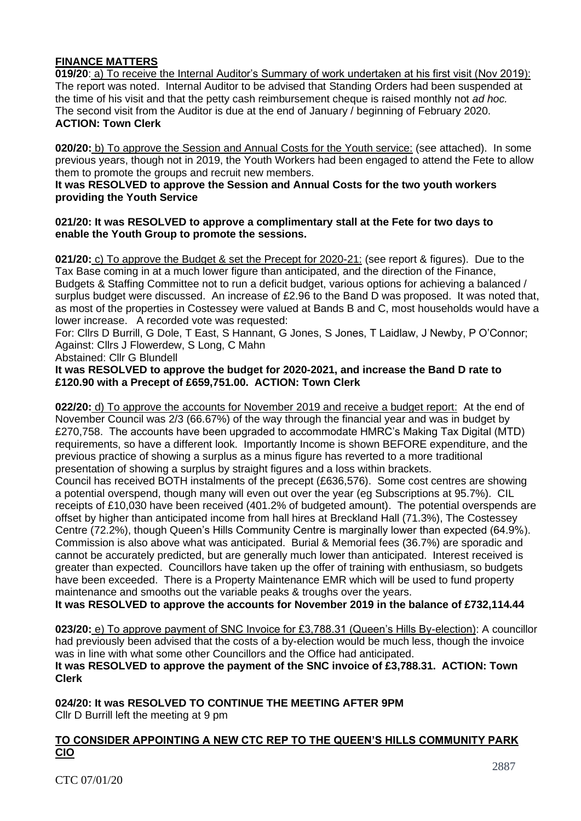# **FINANCE MATTERS**

**019/20**: a) To receive the Internal Auditor's Summary of work undertaken at his first visit (Nov 2019): The report was noted. Internal Auditor to be advised that Standing Orders had been suspended at the time of his visit and that the petty cash reimbursement cheque is raised monthly not *ad hoc.* The second visit from the Auditor is due at the end of January / beginning of February 2020. **ACTION: Town Clerk**

**020/20:** b) To approve the Session and Annual Costs for the Youth service: (see attached). In some previous years, though not in 2019, the Youth Workers had been engaged to attend the Fete to allow them to promote the groups and recruit new members.

### **It was RESOLVED to approve the Session and Annual Costs for the two youth workers providing the Youth Service**

### **021/20: It was RESOLVED to approve a complimentary stall at the Fete for two days to enable the Youth Group to promote the sessions.**

**021/20:** c) To approve the Budget & set the Precept for 2020-21: (see report & figures). Due to the Tax Base coming in at a much lower figure than anticipated, and the direction of the Finance, Budgets & Staffing Committee not to run a deficit budget, various options for achieving a balanced / surplus budget were discussed. An increase of £2.96 to the Band D was proposed. It was noted that, as most of the properties in Costessey were valued at Bands B and C, most households would have a lower increase. A recorded vote was requested:

For: Cllrs D Burrill, G Dole, T East, S Hannant, G Jones, S Jones, T Laidlaw, J Newby, P O'Connor; Against: Cllrs J Flowerdew, S Long, C Mahn

Abstained: Cllr G Blundell

### **It was RESOLVED to approve the budget for 2020-2021, and increase the Band D rate to £120.90 with a Precept of £659,751.00. ACTION: Town Clerk**

**022/20:** d) To approve the accounts for November 2019 and receive a budget report: At the end of November Council was 2/3 (66.67%) of the way through the financial year and was in budget by £270,758. The accounts have been upgraded to accommodate HMRC's Making Tax Digital (MTD) requirements, so have a different look. Importantly Income is shown BEFORE expenditure, and the previous practice of showing a surplus as a minus figure has reverted to a more traditional presentation of showing a surplus by straight figures and a loss within brackets.

Council has received BOTH instalments of the precept (£636,576). Some cost centres are showing a potential overspend, though many will even out over the year (eg Subscriptions at 95.7%). CIL receipts of £10,030 have been received (401.2% of budgeted amount). The potential overspends are offset by higher than anticipated income from hall hires at Breckland Hall (71.3%), The Costessey Centre (72.2%), though Queen's Hills Community Centre is marginally lower than expected (64.9%). Commission is also above what was anticipated. Burial & Memorial fees (36.7%) are sporadic and cannot be accurately predicted, but are generally much lower than anticipated. Interest received is greater than expected. Councillors have taken up the offer of training with enthusiasm, so budgets have been exceeded. There is a Property Maintenance EMR which will be used to fund property maintenance and smooths out the variable peaks & troughs over the years.

**It was RESOLVED to approve the accounts for November 2019 in the balance of £732,114.44**

**023/20:** e) To approve payment of SNC Invoice for £3,788.31 (Queen's Hills By-election): A councillor had previously been advised that the costs of a by-election would be much less, though the invoice was in line with what some other Councillors and the Office had anticipated. **It was RESOLVED to approve the payment of the SNC invoice of £3,788.31. ACTION: Town Clerk**

**024/20: It was RESOLVED TO CONTINUE THE MEETING AFTER 9PM** Cllr D Burrill left the meeting at 9 pm

## **TO CONSIDER APPOINTING A NEW CTC REP TO THE QUEEN'S HILLS COMMUNITY PARK CIO**

CTC 07/01/20